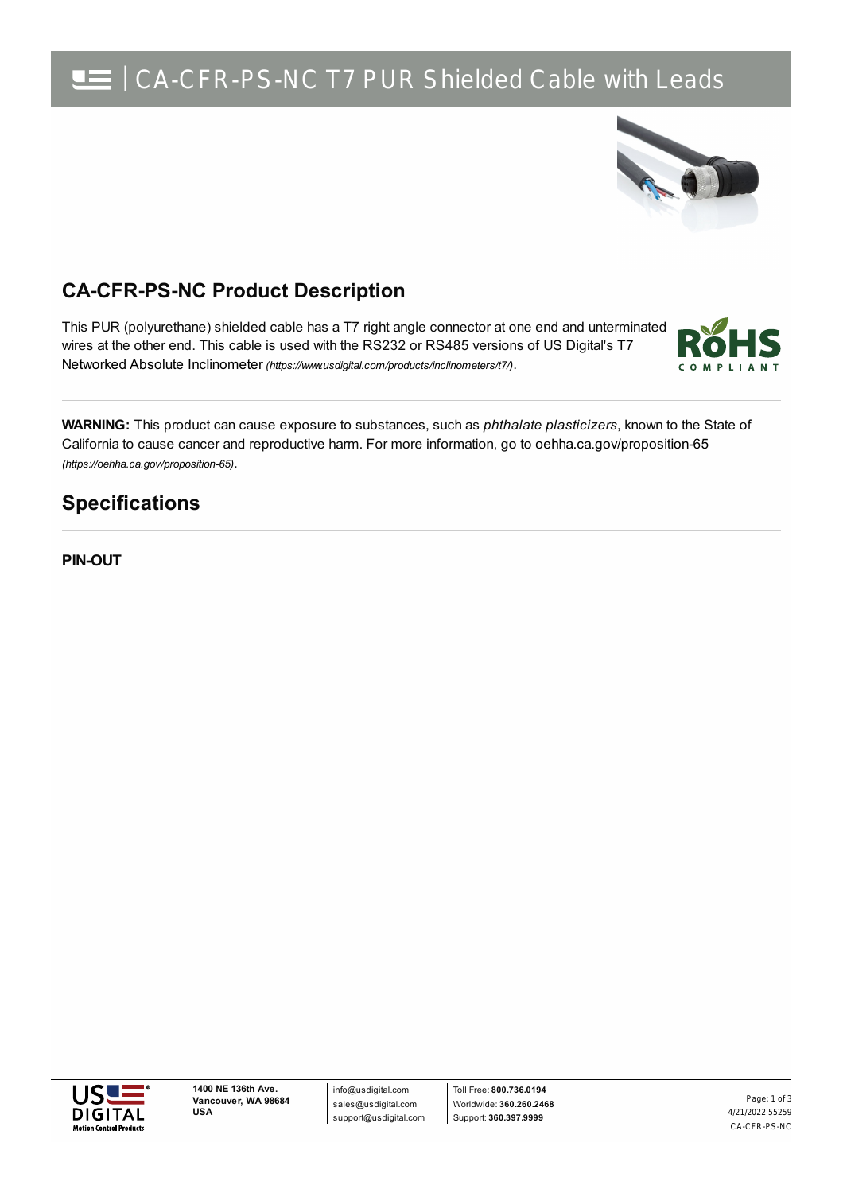## CA-CFR-PS-NC T7 PUR Shielded Cable with Leads



### **CA-CFR-PS-NC Product Description**

This PUR (polyurethane) shielded cable has a T7 right angle connector at one end and unterminated wires at the other end. This cable is used with the RS232 or RS485 versions of US Digital's T7 Networked Absolute Inclinometer *[\(https://www.usdigital.com/products/inclinometers/t7/\)](https://www.usdigital.com/products/inclinometers/t7/)*.



**WARNING:** This product can cause exposure to substances, such as *phthalate plasticizers*, known to the State of California to cause cancer and reproductive harm. For more information, go to oehha.ca.gov/proposition-65 *(https://oehha.ca.gov/proposition-65)*.

#### **Specifications**

**PIN-OUT**



info@usdigital.com sales@usdigital.com support@usdigital.com

Toll Free: **800.736.0194** Worldwide: **360.260.2468** Support: **360.397.9999**

4/21/2022 55259 CA-CFR-PS-NC Page: 1 of 3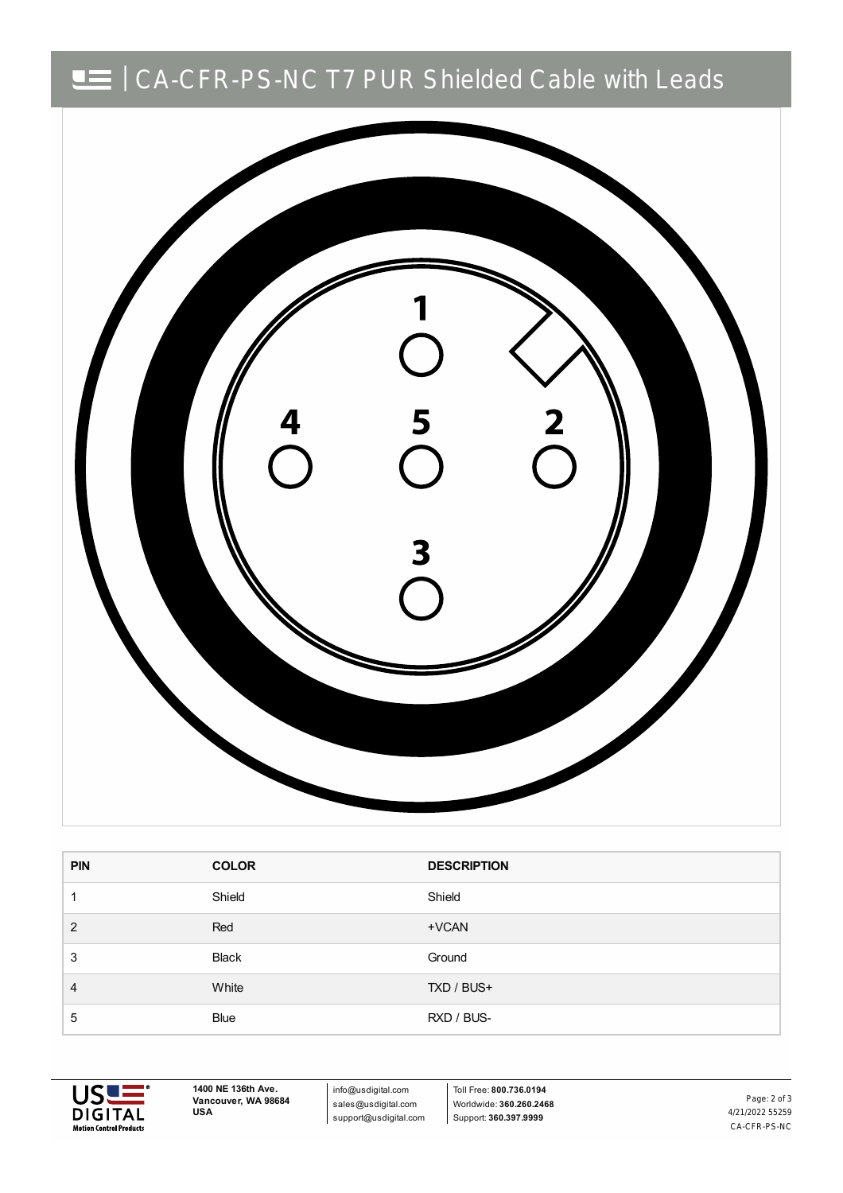# | CA-CFR-PS-NC T7 PUR Shielded Cable with Leads



| <b>PIN</b> | <b>COLOR</b> | <b>DESCRIPTION</b> |
|------------|--------------|--------------------|
|            | Shield       | Shield             |
| 2          | Red          | +VCAN              |
| 3          | <b>Black</b> | Ground             |
| 4          | White        | TXD / BUS+         |
| 5          | <b>Blue</b>  | RXD / BUS-         |



**1400 NE 136th Ave. Vancouver, WA 98684 USA**

info@usdigital.com sales@usdigital.com support@usdigital.com

Toll Free: **800.736.0194** Worldwide: **360.260.2468** Support: **360.397.9999**

4/21/2022 55259 CA-CFR-PS-NC Page: 2 of 3